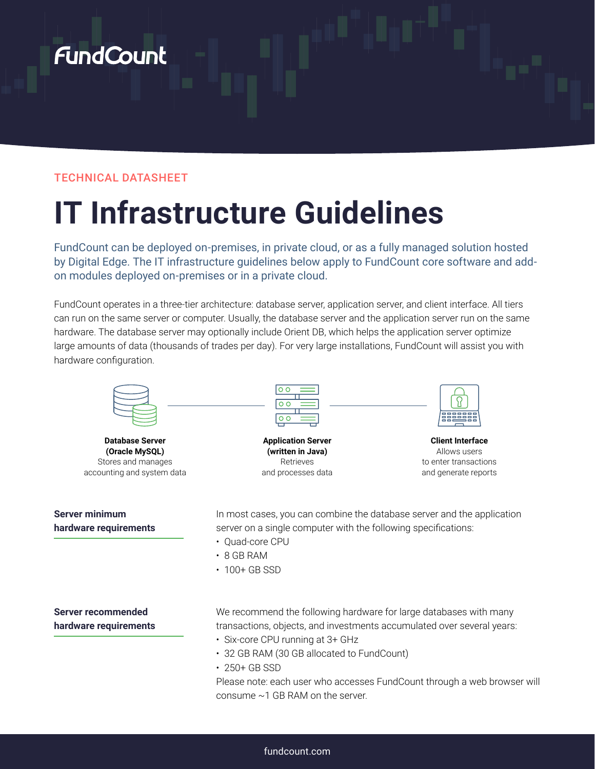# **FundCount**

# TECHNICAL DATASHEET

# **IT Infrastructure Guidelines**

FundCount can be deployed on-premises, in private cloud, or as a fully managed solution hosted by Digital Edge. The IT infrastructure guidelines below apply to FundCount core software and addon modules deployed on-premises or in a private cloud.

FundCount operates in a three-tier architecture: database server, application server, and client interface. All tiers can run on the same server or computer. Usually, the database server and the application server run on the same hardware. The database server may optionally include Orient DB, which helps the application server optimize large amounts of data (thousands of trades per day). For very large installations, FundCount will assist you with hardware configuration.



**Database Server (Oracle MySQL)** Stores and manages accounting and system data

## **Server minimum hardware requirements**

**Server recommended hardware requirements** **Application Server (written in Java)** Retrieves

and processes data



**Client Interface** Allows users to enter transactions and generate reports

In most cases, you can combine the database server and the application server on a single computer with the following specifications:

- Quad-core CPU
- 8 GB RAM
- 100+ GB SSD
- We recommend the following hardware for large databases with many transactions, objects, and investments accumulated over several years:
- Six-core CPU running at 3+ GHz
- 32 GB RAM (30 GB allocated to FundCount)
- 250+ GB SSD

Please note: each user who accesses FundCount through a web browser will consume ~1 GB RAM on the server.